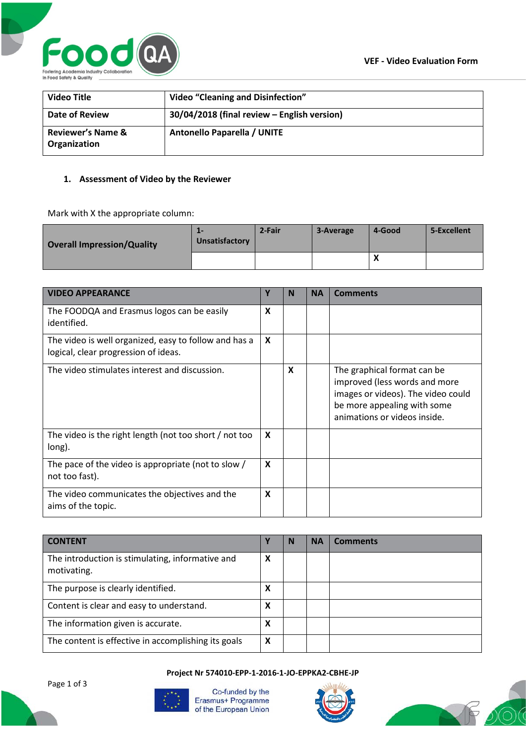

| <b>Video Title</b>                           | <b>Video "Cleaning and Disinfection"</b>    |
|----------------------------------------------|---------------------------------------------|
| Date of Review                               | 30/04/2018 (final review - English version) |
| <b>Reviewer's Name &amp;</b><br>Organization | <b>Antonello Paparella / UNITE</b>          |

## **1. Assessment of Video by the Reviewer**

Mark with X the appropriate column:

| <b>Overall Impression/Quality</b> | Unsatisfactory | 2-Fair | 3-Average | 4-Good       | 5-Excellent |
|-----------------------------------|----------------|--------|-----------|--------------|-------------|
|                                   |                |        |           | $\mathbf{v}$ |             |

| <b>VIDEO APPEARANCE</b>                                                                       | Υ                         | N | <b>NA</b> | <b>Comments</b>                                                                                                                                                   |
|-----------------------------------------------------------------------------------------------|---------------------------|---|-----------|-------------------------------------------------------------------------------------------------------------------------------------------------------------------|
| The FOODQA and Erasmus logos can be easily<br>identified.                                     | $\boldsymbol{x}$          |   |           |                                                                                                                                                                   |
| The video is well organized, easy to follow and has a<br>logical, clear progression of ideas. | X                         |   |           |                                                                                                                                                                   |
| The video stimulates interest and discussion.                                                 |                           | X |           | The graphical format can be<br>improved (less words and more<br>images or videos). The video could<br>be more appealing with some<br>animations or videos inside. |
| The video is the right length (not too short / not too<br>long).                              | X                         |   |           |                                                                                                                                                                   |
| The pace of the video is appropriate (not to slow /<br>not too fast).                         | $\boldsymbol{\mathsf{x}}$ |   |           |                                                                                                                                                                   |
| The video communicates the objectives and the<br>aims of the topic.                           | X                         |   |           |                                                                                                                                                                   |

| <b>CONTENT</b>                                                  |   | N | <b>NA</b> | <b>Comments</b> |
|-----------------------------------------------------------------|---|---|-----------|-----------------|
| The introduction is stimulating, informative and<br>motivating. | X |   |           |                 |
| The purpose is clearly identified.                              | x |   |           |                 |
| Content is clear and easy to understand.                        | х |   |           |                 |
| The information given is accurate.                              | x |   |           |                 |
| The content is effective in accomplishing its goals             | X |   |           |                 |

**Project Nr 574010-EPP-1-2016-1-JO-EPPKA2-CBHE-JP**





Co-funded by the Erasmus+ Programme of the European Union



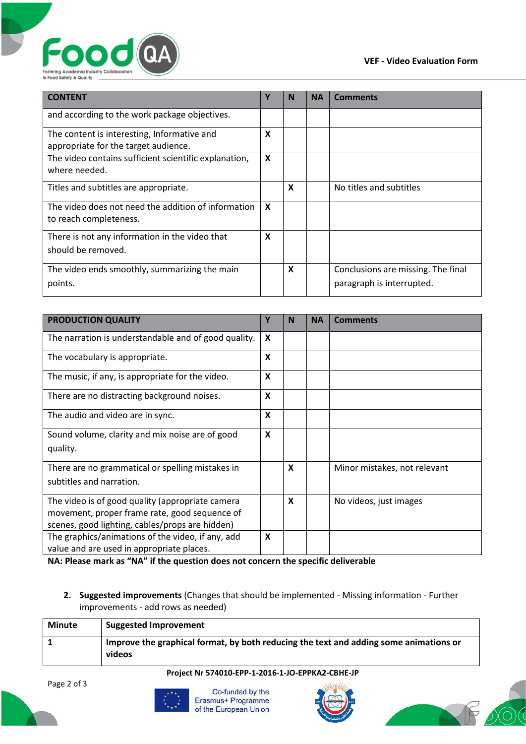

| <b>CONTENT</b>                                                                      | Υ | N | <b>NA</b> | <b>Comments</b>                                                 |
|-------------------------------------------------------------------------------------|---|---|-----------|-----------------------------------------------------------------|
| and according to the work package objectives.                                       |   |   |           |                                                                 |
| The content is interesting, Informative and<br>appropriate for the target audience. |   |   |           |                                                                 |
| The video contains sufficient scientific explanation,<br>where needed.              |   |   |           |                                                                 |
| Titles and subtitles are appropriate.                                               |   | X |           | No titles and subtitles                                         |
| The video does not need the addition of information<br>to reach completeness.       | X |   |           |                                                                 |
| There is not any information in the video that                                      | X |   |           |                                                                 |
| should be removed.                                                                  |   |   |           |                                                                 |
| The video ends smoothly, summarizing the main<br>points.                            |   | X |           | Conclusions are missing. The final<br>paragraph is interrupted. |
|                                                                                     |   |   |           |                                                                 |

| <b>PRODUCTION QUALITY</b>                                                                                                                               | Υ                       | N | <b>NA</b> | <b>Comments</b>                  |
|---------------------------------------------------------------------------------------------------------------------------------------------------------|-------------------------|---|-----------|----------------------------------|
| The narration is understandable and of good quality.                                                                                                    | X                       |   |           |                                  |
| The vocabulary is appropriate.                                                                                                                          | $\mathsf{\overline{X}}$ |   |           |                                  |
| The music, if any, is appropriate for the video.                                                                                                        | X                       |   |           |                                  |
| There are no distracting background noises.                                                                                                             | X                       |   |           |                                  |
| The audio and video are in sync.                                                                                                                        | X                       |   |           |                                  |
| Sound volume, clarity and mix noise are of good<br>quality.                                                                                             | X                       |   |           |                                  |
| There are no grammatical or spelling mistakes in<br>subtitles and narration.                                                                            |                         | X |           | Minor mistakes, not relevant     |
| The video is of good quality (appropriate camera<br>movement, proper frame rate, good sequence of<br>scenes, good lighting, cables/props are hidden)    |                         | X |           | No videos, just images           |
| The graphics/animations of the video, if any, add<br>value and are used in appropriate places.<br>$\mathbf{N}$ $\mathbf{A}$ , $\mathbf{D}$ $\mathbf{A}$ | X                       |   |           | المالط ومستورينا المالون والكنام |

**NA: Please mark as "NA" if the question does not concern the specific deliverable**

**2. Suggested improvements** (Changes that should be implemented - Missing information - Further improvements - add rows as needed)

| <b>Minute</b> | <b>Suggested Improvement</b>                                                                    |
|---------------|-------------------------------------------------------------------------------------------------|
|               | Improve the graphical format, by both reducing the text and adding some animations or<br>videos |

## **Project Nr 574010-EPP-1-2016-1-JO-EPPKA2-CBHE-JP**